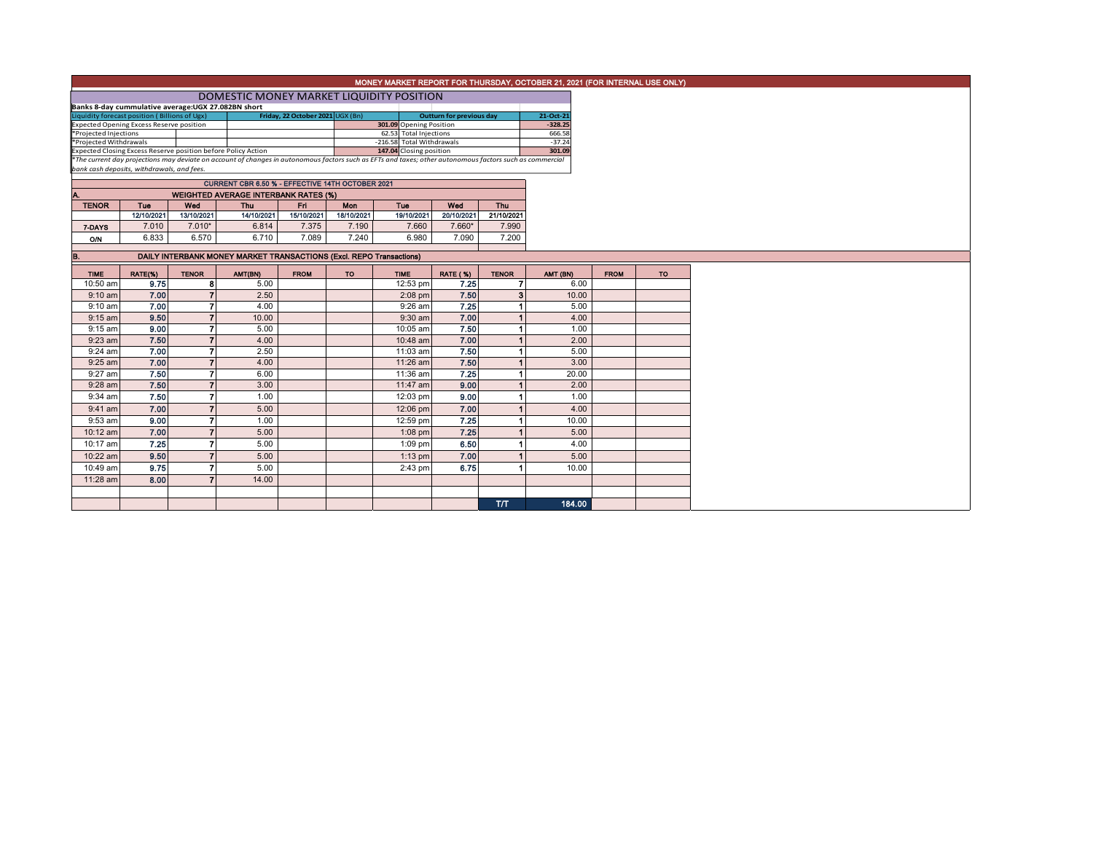|                                                                                                                                                          | MONEY MARKET REPORT FOR THURSDAY, OCTOBER 21, 2021 (FOR INTERNAL USE ONLY) |                          |                                                                     |                                  |                     |                                                   |                                 |                      |                     |             |           |
|----------------------------------------------------------------------------------------------------------------------------------------------------------|----------------------------------------------------------------------------|--------------------------|---------------------------------------------------------------------|----------------------------------|---------------------|---------------------------------------------------|---------------------------------|----------------------|---------------------|-------------|-----------|
|                                                                                                                                                          | DOMESTIC MONEY MARKET LIQUIDITY POSITION                                   |                          |                                                                     |                                  |                     |                                                   |                                 |                      |                     |             |           |
|                                                                                                                                                          | Banks 8-day cummulative average: UGX 27.082BN short                        |                          |                                                                     |                                  |                     |                                                   |                                 |                      |                     |             |           |
| Liquidity forecast position (Billions of Ugx)                                                                                                            |                                                                            |                          |                                                                     | Friday, 22 October 2021 UGX (Bn) |                     |                                                   | <b>Outturn for previous day</b> |                      | 21-Oct-21           |             |           |
| <b>Expected Opening Excess Reserve position</b><br>*Projected Injections                                                                                 |                                                                            |                          |                                                                     |                                  |                     | 301.09 Opening Position<br>62.53 Total Injections |                                 |                      | $-328.25$<br>666.58 |             |           |
| *Projected Withdrawals                                                                                                                                   |                                                                            |                          |                                                                     |                                  |                     | -216.58 Total Withdrawals                         |                                 |                      | $-37.24$            |             |           |
| 147.04 Closing position<br>Expected Closing Excess Reserve position before Policy Action                                                                 |                                                                            |                          |                                                                     |                                  |                     |                                                   | 301.09                          |                      |                     |             |           |
| *The current day projections may deviate on account of changes in autonomous factors such as EFTs and taxes; other autonomous factors such as commercial |                                                                            |                          |                                                                     |                                  |                     |                                                   |                                 |                      |                     |             |           |
|                                                                                                                                                          | bank cash deposits, withdrawals, and fees.                                 |                          |                                                                     |                                  |                     |                                                   |                                 |                      |                     |             |           |
|                                                                                                                                                          |                                                                            |                          | CURRENT CBR 6.50 % - EFFECTIVE 14TH OCTOBER 2021                    |                                  |                     |                                                   |                                 |                      |                     |             |           |
| Α.                                                                                                                                                       |                                                                            |                          | <b>WEIGHTED AVERAGE INTERBANK RATES (%)</b>                         |                                  |                     |                                                   |                                 |                      |                     |             |           |
| <b>TENOR</b>                                                                                                                                             | Tue                                                                        | Wed                      | Thu                                                                 | Fri.                             | Mon                 | Tue                                               | Wed                             | Thu                  |                     |             |           |
|                                                                                                                                                          | 12/10/2021                                                                 | 13/10/2021               | 14/10/2021                                                          | 15/10/2021<br>7.375              | 18/10/2021<br>7.190 | 19/10/2021<br>7.660                               | 20/10/2021<br>7.660*            | 21/10/2021           |                     |             |           |
| 7-DAYS                                                                                                                                                   | 7.010                                                                      | $7.010*$                 | 6.814                                                               |                                  |                     |                                                   |                                 | 7.990                |                     |             |           |
| <b>O/N</b>                                                                                                                                               | 6.833                                                                      | 6.570                    | 6.710                                                               | 7.089                            | 7.240               | 6.980                                             | 7.090                           | 7.200                |                     |             |           |
| в.                                                                                                                                                       |                                                                            |                          | DAILY INTERBANK MONEY MARKET TRANSACTIONS (Excl. REPO Transactions) |                                  |                     |                                                   |                                 |                      |                     |             |           |
|                                                                                                                                                          |                                                                            |                          |                                                                     |                                  |                     |                                                   |                                 |                      |                     |             |           |
| <b>TIME</b>                                                                                                                                              | RATE(%)                                                                    | <b>TENOR</b>             | AMT(BN)                                                             | <b>FROM</b>                      | <b>TO</b>           | <b>TIME</b>                                       | <b>RATE (%)</b>                 | <b>TENOR</b>         | AMT (BN)            | <b>FROM</b> | <b>TO</b> |
| 10:50 am                                                                                                                                                 | 9.75                                                                       | 8                        | 5.00                                                                |                                  |                     | 12:53 pm                                          | 7.25                            | $\overline{7}$       | 6.00                |             |           |
| $9:10$ am                                                                                                                                                | 7.00<br>7.00                                                               | 7                        | 2.50                                                                |                                  |                     | $2:08$ pm                                         | 7.50<br>7.25                    | 3 <sup>1</sup>       | 10.00               |             |           |
| $9:10$ am<br>$9:15$ am                                                                                                                                   | 9.50                                                                       | $\overline{\phantom{a}}$ | 4.00<br>10.00                                                       |                                  |                     | $9:26$ am<br>$9:30$ am                            | 7.00                            | $\blacktriangleleft$ | 5.00<br>4.00        |             |           |
| $9:15$ am                                                                                                                                                | 9.00                                                                       | $\overline{ }$           | 5.00                                                                |                                  |                     | 10:05 am                                          | 7.50                            | 1                    | 1.00                |             |           |
| $9:23$ am                                                                                                                                                | 7.50                                                                       | $\overline{7}$           | 4.00                                                                |                                  |                     | 10:48 am                                          | 7.00                            | $\blacktriangleleft$ | 2.00                |             |           |
| $9:24$ am                                                                                                                                                | 7.00                                                                       | 7                        | 2.50                                                                |                                  |                     | 11:03 am                                          | 7.50                            | 1                    | 5.00                |             |           |
| $9:25$ am                                                                                                                                                | 7.00                                                                       | $\overline{ }$           | 4.00                                                                |                                  |                     | 11:26 am                                          | 7.50                            | $\blacktriangleleft$ | 3.00                |             |           |
| 9:27 am                                                                                                                                                  | 7.50                                                                       | $\overline{ }$           | 6.00                                                                |                                  |                     | 11:36 am                                          | 7.25                            |                      | 20.00               |             |           |
| 9:28 am                                                                                                                                                  | 7.50                                                                       | $\overline{ }$           | 3.00                                                                |                                  |                     | 11:47 am                                          | 9.00                            | $\blacktriangleleft$ | 2.00                |             |           |
| $9:34$ am                                                                                                                                                | 7.50                                                                       | 7                        | 1.00                                                                |                                  |                     | 12:03 pm                                          | 9.00                            |                      | 1.00                |             |           |
| $9:41$ am                                                                                                                                                | 7.00                                                                       | $\overline{ }$           | 5.00                                                                |                                  |                     | 12:06 pm                                          | 7.00                            |                      | 4.00                |             |           |
| 9:53 am                                                                                                                                                  | 9.00                                                                       | 7                        | 1.00                                                                |                                  |                     | 12:59 pm                                          | 7.25                            | 1                    | 10.00               |             |           |
|                                                                                                                                                          |                                                                            | $\overline{ }$           |                                                                     |                                  |                     |                                                   | 7.25                            |                      |                     |             |           |
| 10:12 am                                                                                                                                                 | 7.00                                                                       | 7                        | 5.00                                                                |                                  |                     | $1:08$ pm                                         |                                 |                      | 5.00                |             |           |
| 10:17 am                                                                                                                                                 | 7.25                                                                       |                          | 5.00                                                                |                                  |                     | $1:09$ pm                                         | 6.50                            |                      | 4.00                |             |           |
| 10:22 am                                                                                                                                                 | 9.50                                                                       |                          | 5.00                                                                |                                  |                     | $1:13$ pm                                         | 7.00                            |                      | 5.00                |             |           |
| 10:49 am                                                                                                                                                 | 9.75                                                                       |                          | 5.00                                                                |                                  |                     | $2:43$ pm                                         | 6.75                            |                      | 10.00               |             |           |
| 11:28 am                                                                                                                                                 | 8.00                                                                       | 7                        | 14.00                                                               |                                  |                     |                                                   |                                 |                      |                     |             |           |
|                                                                                                                                                          |                                                                            |                          |                                                                     |                                  |                     |                                                   |                                 |                      |                     |             |           |
|                                                                                                                                                          |                                                                            |                          |                                                                     |                                  |                     |                                                   |                                 | <b>ТЛТ</b>           | 184.00              |             |           |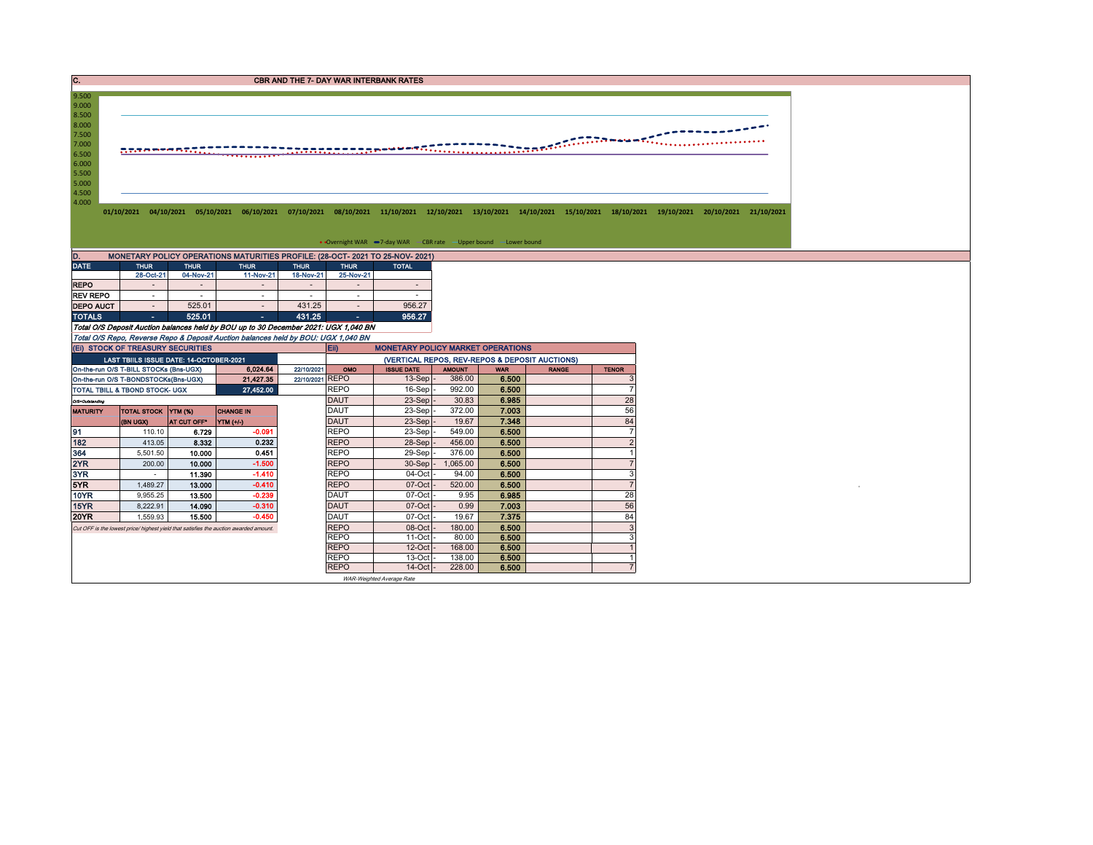C. CREASE CONSTRUCTION CONTINUES AND THE 7- DAY WAR INTERBANK RATES

`

01/10/2021 04/10/2021 05/10/2021 06/10/2021 07/10/2021 08/10/2021 11/10/2021 12/10/2021 13/10/2021 14/10/2021 15/10/2021 18/10/2021 19/10/2021 20/10/2021 21/10/2021

• Overnight WAR -7-day WAR - CBR rate - Upper bound - Lower bound

| MONETARY POLICY OPERATIONS MATURITIES PROFILE: (28-OCT- 2021 TO 25-NOV- 2021)<br>D. |             |             |             |             |             |              |  |  |  |  |  |  |  |  |
|-------------------------------------------------------------------------------------|-------------|-------------|-------------|-------------|-------------|--------------|--|--|--|--|--|--|--|--|
| <b>DATE</b>                                                                         | <b>THUR</b> | <b>THUR</b> | <b>THUR</b> | <b>THUR</b> | <b>THUR</b> | <b>TOTAL</b> |  |  |  |  |  |  |  |  |
|                                                                                     | 28-Oct-21   | 04-Nov-21   | 11-Nov-21   | 18-Nov-21   | 25-Nov-21   |              |  |  |  |  |  |  |  |  |
| <b>REPO</b>                                                                         |             | ۰           |             |             |             |              |  |  |  |  |  |  |  |  |
| <b>REV REPO</b>                                                                     |             | ۰           |             |             |             |              |  |  |  |  |  |  |  |  |
| <b>DEPO AUCT</b>                                                                    |             | 525.01      |             | 431.25      |             | 956.27       |  |  |  |  |  |  |  |  |
| <b>TOTALS</b>                                                                       | ٠           | 525.01      |             | 431.25      | ٠           | 956.27       |  |  |  |  |  |  |  |  |

Total O/S Deposit Auction balances held by BOU up to 30 December 2021: UGX 1,040 BN Total O/S Repo, Reverse Repo & Deposit Auction balances held by BOU: UGX 1,040 BN

8.500<br>8.000<br>7.500<br>7.000<br>6.500<br>5.500<br>5.500<br>4.500<br>4.000

9.000 9.500

|                                                            | (EI) STOCK OF TREASURY SECURITIES                                                     |                    |           |                 | <b>MONETARY POLICY MARKET OPERATIONS</b><br><b>Eil</b> |                   |               |            |              |              |  |  |  |
|------------------------------------------------------------|---------------------------------------------------------------------------------------|--------------------|-----------|-----------------|--------------------------------------------------------|-------------------|---------------|------------|--------------|--------------|--|--|--|
|                                                            | LAST TBIILS ISSUE DATE: 14-OCTOBER-2021                                               |                    |           |                 | (VERTICAL REPOS, REV-REPOS & DEPOSIT AUCTIONS)         |                   |               |            |              |              |  |  |  |
|                                                            | On-the-run O/S T-BILL STOCKs (Bns-UGX)                                                |                    | 6,024.64  | 22/10/2021      | <b>OMO</b>                                             | <b>ISSUE DATE</b> | <b>AMOUNT</b> | <b>WAR</b> | <b>RANGE</b> | <b>TENOR</b> |  |  |  |
|                                                            | On-the-run O/S T-BONDSTOCKs(Bns-UGX)                                                  |                    | 21,427.35 | 22/10/2021 REPO |                                                        | $13-Sep$ -        | 386.00        | 6.500      |              |              |  |  |  |
|                                                            | <b>TOTAL TBILL &amp; TBOND STOCK- UGX</b>                                             |                    | 27,452.00 |                 | <b>REPO</b>                                            | $16-Sep$          | 992.00        | 6.500      |              |              |  |  |  |
| O/S=Outstanding                                            |                                                                                       |                    |           |                 | <b>DAUT</b>                                            | $23-Sep$ -        | 30.83         | 6.985      |              | 28           |  |  |  |
| TOTAL STOCK YTM (%)<br><b>CHANGE IN</b><br><b>MATURITY</b> |                                                                                       |                    |           |                 | <b>DAUT</b>                                            | 23-Sep -          | 372.00        | 7.003      |              | 56           |  |  |  |
|                                                            | (BN UGX)                                                                              | <b>AT CUT OFF'</b> | YTM (+/-) |                 | <b>DAUT</b>                                            | $23-Sep$ -        | 19.67         | 7.348      |              | 84           |  |  |  |
| 91                                                         | 110.10                                                                                | 6.729              | $-0.091$  |                 | <b>REPO</b>                                            | $23-Sep$ -        | 549.00        | 6.500      |              |              |  |  |  |
| 182                                                        | 413.05                                                                                | 8.332              | 0.232     |                 | <b>REPO</b>                                            | 28-Sep -          | 456.00        | 6.500      |              |              |  |  |  |
| 364                                                        | 5.501.50                                                                              | 10.000             | 0.451     |                 | <b>REPO</b>                                            | 29-Sep-           | 376.00        | 6.500      |              |              |  |  |  |
| 2YR                                                        | 200.00                                                                                | 10.000             | $-1.500$  |                 | <b>REPO</b>                                            | $30-Sep$ -        | 1,065.00      | 6.500      |              |              |  |  |  |
| 3YR                                                        |                                                                                       | 11.390             | $-1.410$  |                 | <b>REPO</b>                                            | 04-Oct -          | 94.00         | 6.500      |              |              |  |  |  |
| 5YR                                                        | 1.489.27                                                                              | 13.000             | $-0.410$  |                 | <b>REPO</b>                                            | $07-Cct$          | 520.00        | 6.500      |              |              |  |  |  |
| <b>10YR</b>                                                | 9,955.25                                                                              | 13.500             | $-0.239$  |                 | <b>DAUT</b>                                            | $07-Cct$          | 9.95          | 6.985      |              | 28           |  |  |  |
| <b>15YR</b>                                                | 8,222.91                                                                              | 14.090             | $-0.310$  |                 | <b>DAUT</b>                                            | $07$ -Oct $-$     | 0.99          | 7.003      |              | 56           |  |  |  |
| <b>20YR</b>                                                | 1,559.93                                                                              | 15.500             | $-0.450$  |                 | DAUT                                                   | $07$ -Oct $\cdot$ | 19.67         | 7.375      |              | 84           |  |  |  |
|                                                            | Cut OFF is the lowest price/ highest vield that satisfies the auction awarded amount. |                    |           |                 |                                                        | $08$ -Oct $-$     | 180.00        | 6.500      |              |              |  |  |  |
|                                                            |                                                                                       |                    |           |                 | <b>REPO</b>                                            | $11$ -Oct -       | 80.00         | 6.500      |              |              |  |  |  |
|                                                            |                                                                                       |                    |           |                 | <b>REPO</b>                                            | $12$ -Oct $-$     | 168.00        | 6.500      |              |              |  |  |  |
|                                                            |                                                                                       |                    |           |                 | <b>REPO</b>                                            | $13$ -Oct $-$     | 138.00        | 6.500      |              |              |  |  |  |
|                                                            |                                                                                       |                    |           |                 | <b>REPO</b>                                            | $14$ -Oct $-$     | 228,00        | 6.500      |              |              |  |  |  |
|                                                            | WAR-Weighted Average Rate                                                             |                    |           |                 |                                                        |                   |               |            |              |              |  |  |  |